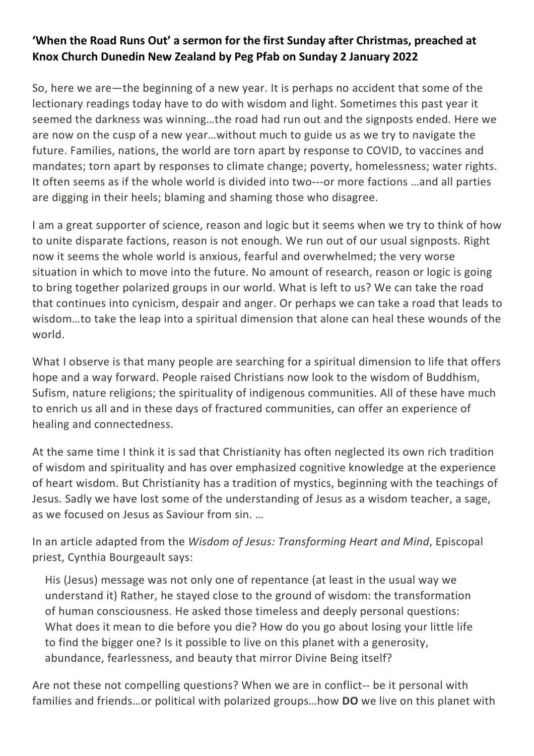## 'When the Road Runs Out' a sermon for the first Sunday after Christmas, preached at Knox Church Dunedin New Zealand by Peg Pfab on Sunday 2 January 2022

So, here we are—the beginning of a new year. It is perhaps no accident that some of the lectionary readings today have to do with wisdom and light. Sometimes this past year it seemed the darkness was winning…the road had run out and the signposts ended. Here we are now on the cusp of a new year…without much to guide us as we try to navigate the future. Families, nations, the world are torn apart by response to COVID, to vaccines and mandates; torn apart by responses to climate change; poverty, homelessness; water rights. It often seems as if the whole world is divided into two---or more factions …and all parties are digging in their heels; blaming and shaming those who disagree.

I am a great supporter of science, reason and logic but it seems when we try to think of how to unite disparate factions, reason is not enough. We run out of our usual signposts. Right now it seems the whole world is anxious, fearful and overwhelmed; the very worse situation in which to move into the future. No amount of research, reason or logic is going to bring together polarized groups in our world. What is left to us? We can take the road that continues into cynicism, despair and anger. Or perhaps we can take a road that leads to wisdom…to take the leap into a spiritual dimension that alone can heal these wounds of the world.

What I observe is that many people are searching for a spiritual dimension to life that offers hope and a way forward. People raised Christians now look to the wisdom of Buddhism, Sufism, nature religions; the spirituality of indigenous communities. All of these have much to enrich us all and in these days of fractured communities, can offer an experience of healing and connectedness.

At the same time I think it is sad that Christianity has often neglected its own rich tradition of wisdom and spirituality and has over emphasized cognitive knowledge at the experience of heart wisdom. But Christianity has a tradition of mystics, beginning with the teachings of Jesus. Sadly we have lost some of the understanding of Jesus as a wisdom teacher, a sage, as we focused on Jesus as Saviour from sin. …

In an article adapted from the Wisdom of Jesus: Transforming Heart and Mind, Episcopal priest, Cynthia Bourgeault says:

His (Jesus) message was not only one of repentance (at least in the usual way we understand it) Rather, he stayed close to the ground of wisdom: the transformation of human consciousness. He asked those timeless and deeply personal questions: What does it mean to die before you die? How do you go about losing your little life to find the bigger one? Is it possible to live on this planet with a generosity, abundance, fearlessness, and beauty that mirror Divine Being itself?

Are not these not compelling questions? When we are in conflict-- be it personal with families and friends...or political with polarized groups...how **DO** we live on this planet with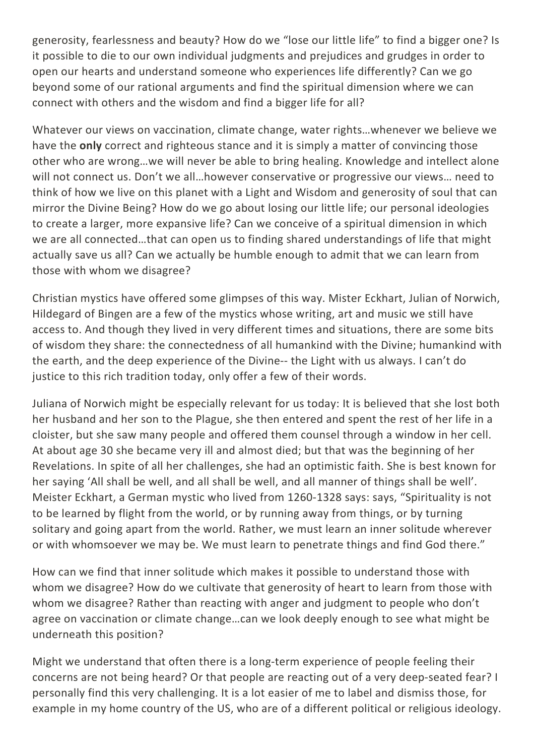generosity, fearlessness and beauty? How do we "lose our little life" to find a bigger one? Is it possible to die to our own individual judgments and prejudices and grudges in order to open our hearts and understand someone who experiences life differently? Can we go beyond some of our rational arguments and find the spiritual dimension where we can connect with others and the wisdom and find a bigger life for all?

Whatever our views on vaccination, climate change, water rights…whenever we believe we have the **only** correct and righteous stance and it is simply a matter of convincing those other who are wrong…we will never be able to bring healing. Knowledge and intellect alone will not connect us. Don't we all…however conservative or progressive our views… need to think of how we live on this planet with a Light and Wisdom and generosity of soul that can mirror the Divine Being? How do we go about losing our little life; our personal ideologies to create a larger, more expansive life? Can we conceive of a spiritual dimension in which we are all connected…that can open us to finding shared understandings of life that might actually save us all? Can we actually be humble enough to admit that we can learn from those with whom we disagree?

Christian mystics have offered some glimpses of this way. Mister Eckhart, Julian of Norwich, Hildegard of Bingen are a few of the mystics whose writing, art and music we still have access to. And though they lived in very different times and situations, there are some bits of wisdom they share: the connectedness of all humankind with the Divine; humankind with the earth, and the deep experience of the Divine-- the Light with us always. I can't do justice to this rich tradition today, only offer a few of their words.

Juliana of Norwich might be especially relevant for us today: It is believed that she lost both her husband and her son to the Plague, she then entered and spent the rest of her life in a cloister, but she saw many people and offered them counsel through a window in her cell. At about age 30 she became very ill and almost died; but that was the beginning of her Revelations. In spite of all her challenges, she had an optimistic faith. She is best known for her saying 'All shall be well, and all shall be well, and all manner of things shall be well'. Meister Eckhart, a German mystic who lived from 1260-1328 says: says, "Spirituality is not to be learned by flight from the world, or by running away from things, or by turning solitary and going apart from the world. Rather, we must learn an inner solitude wherever or with whomsoever we may be. We must learn to penetrate things and find God there."

How can we find that inner solitude which makes it possible to understand those with whom we disagree? How do we cultivate that generosity of heart to learn from those with whom we disagree? Rather than reacting with anger and judgment to people who don't agree on vaccination or climate change…can we look deeply enough to see what might be underneath this position?

Might we understand that often there is a long-term experience of people feeling their concerns are not being heard? Or that people are reacting out of a very deep-seated fear? I personally find this very challenging. It is a lot easier of me to label and dismiss those, for example in my home country of the US, who are of a different political or religious ideology.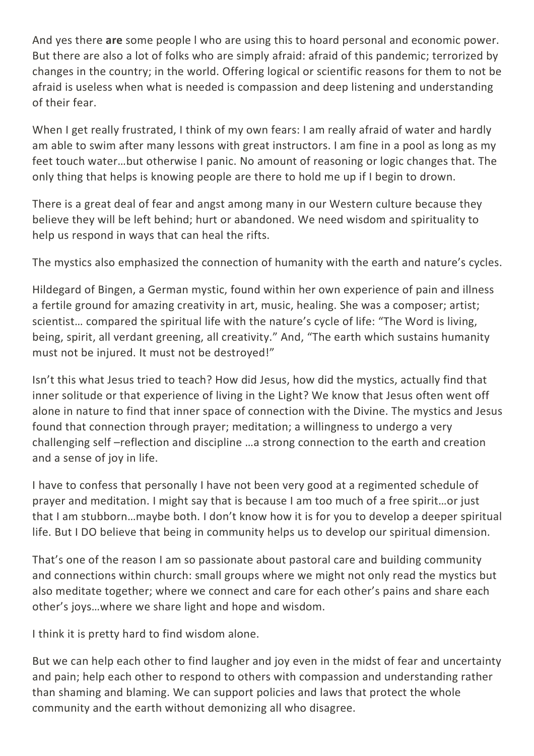And yes there are some people I who are using this to hoard personal and economic power. But there are also a lot of folks who are simply afraid: afraid of this pandemic; terrorized by changes in the country; in the world. Offering logical or scientific reasons for them to not be afraid is useless when what is needed is compassion and deep listening and understanding of their fear.

When I get really frustrated, I think of my own fears: I am really afraid of water and hardly am able to swim after many lessons with great instructors. I am fine in a pool as long as my feet touch water…but otherwise I panic. No amount of reasoning or logic changes that. The only thing that helps is knowing people are there to hold me up if I begin to drown.

There is a great deal of fear and angst among many in our Western culture because they believe they will be left behind; hurt or abandoned. We need wisdom and spirituality to help us respond in ways that can heal the rifts.

The mystics also emphasized the connection of humanity with the earth and nature's cycles.

Hildegard of Bingen, a German mystic, found within her own experience of pain and illness a fertile ground for amazing creativity in art, music, healing. She was a composer; artist; scientist… compared the spiritual life with the nature's cycle of life: "The Word is living, being, spirit, all verdant greening, all creativity." And, "The earth which sustains humanity must not be injured. It must not be destroyed!"

Isn't this what Jesus tried to teach? How did Jesus, how did the mystics, actually find that inner solitude or that experience of living in the Light? We know that Jesus often went off alone in nature to find that inner space of connection with the Divine. The mystics and Jesus found that connection through prayer; meditation; a willingness to undergo a very challenging self –reflection and discipline …a strong connection to the earth and creation and a sense of joy in life.

I have to confess that personally I have not been very good at a regimented schedule of prayer and meditation. I might say that is because I am too much of a free spirit…or just that I am stubborn…maybe both. I don't know how it is for you to develop a deeper spiritual life. But I DO believe that being in community helps us to develop our spiritual dimension.

That's one of the reason I am so passionate about pastoral care and building community and connections within church: small groups where we might not only read the mystics but also meditate together; where we connect and care for each other's pains and share each other's joys…where we share light and hope and wisdom.

I think it is pretty hard to find wisdom alone.

But we can help each other to find laugher and joy even in the midst of fear and uncertainty and pain; help each other to respond to others with compassion and understanding rather than shaming and blaming. We can support policies and laws that protect the whole community and the earth without demonizing all who disagree.